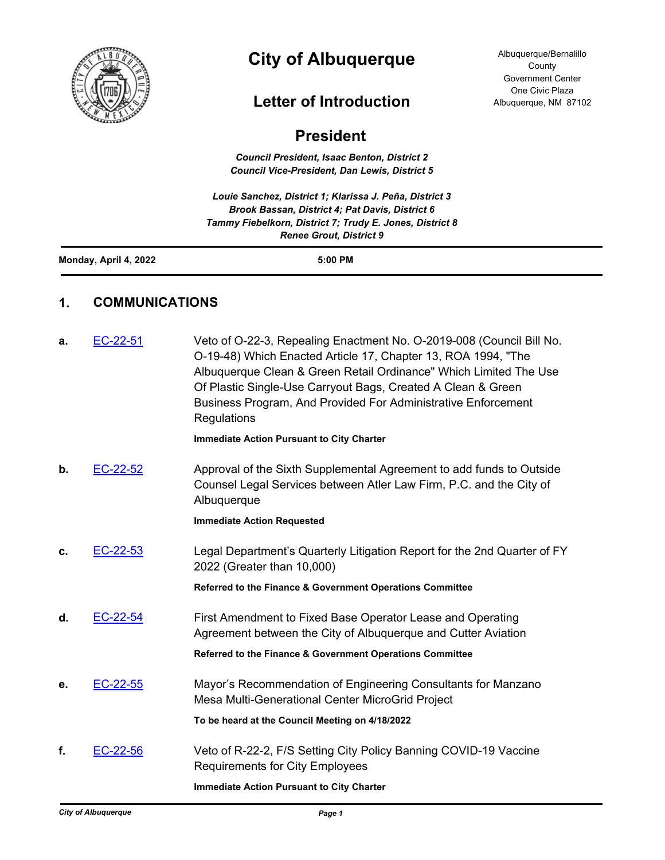

## **City of Albuquerque**

## **Letter of Introduction**

Albuquerque/Bernalillo County Government Center One Civic Plaza Albuquerque, NM 87102

## **President**

*Council President, Isaac Benton, District 2 Council Vice-President, Dan Lewis, District 5*

*Louie Sanchez, District 1; Klarissa J. Peña, District 3 Brook Bassan, District 4; Pat Davis, District 6 Tammy Fiebelkorn, District 7; Trudy E. Jones, District 8 Renee Grout, District 9*

**Monday, April 4, 2022 5:00 PM**

## **1. COMMUNICATIONS**

| a. | EC-22-51 | Veto of O-22-3, Repealing Enactment No. O-2019-008 (Council Bill No.<br>O-19-48) Which Enacted Article 17, Chapter 13, ROA 1994, "The<br>Albuquerque Clean & Green Retail Ordinance" Which Limited The Use<br>Of Plastic Single-Use Carryout Bags, Created A Clean & Green<br>Business Program, And Provided For Administrative Enforcement<br>Regulations |
|----|----------|------------------------------------------------------------------------------------------------------------------------------------------------------------------------------------------------------------------------------------------------------------------------------------------------------------------------------------------------------------|
|    |          | <b>Immediate Action Pursuant to City Charter</b>                                                                                                                                                                                                                                                                                                           |
| b. | EC-22-52 | Approval of the Sixth Supplemental Agreement to add funds to Outside<br>Counsel Legal Services between Atler Law Firm, P.C. and the City of<br>Albuquerque                                                                                                                                                                                                 |
|    |          | <b>Immediate Action Requested</b>                                                                                                                                                                                                                                                                                                                          |
| c. | EC-22-53 | Legal Department's Quarterly Litigation Report for the 2nd Quarter of FY<br>2022 (Greater than 10,000)                                                                                                                                                                                                                                                     |
|    |          | Referred to the Finance & Government Operations Committee                                                                                                                                                                                                                                                                                                  |
| d. | EC-22-54 | First Amendment to Fixed Base Operator Lease and Operating<br>Agreement between the City of Albuquerque and Cutter Aviation                                                                                                                                                                                                                                |
|    |          | Referred to the Finance & Government Operations Committee                                                                                                                                                                                                                                                                                                  |
| е. | EC-22-55 | Mayor's Recommendation of Engineering Consultants for Manzano<br>Mesa Multi-Generational Center MicroGrid Project                                                                                                                                                                                                                                          |
|    |          | To be heard at the Council Meeting on 4/18/2022                                                                                                                                                                                                                                                                                                            |
| f. | EC-22-56 | Veto of R-22-2, F/S Setting City Policy Banning COVID-19 Vaccine<br><b>Requirements for City Employees</b>                                                                                                                                                                                                                                                 |
|    |          | <b>Immediate Action Pursuant to City Charter</b>                                                                                                                                                                                                                                                                                                           |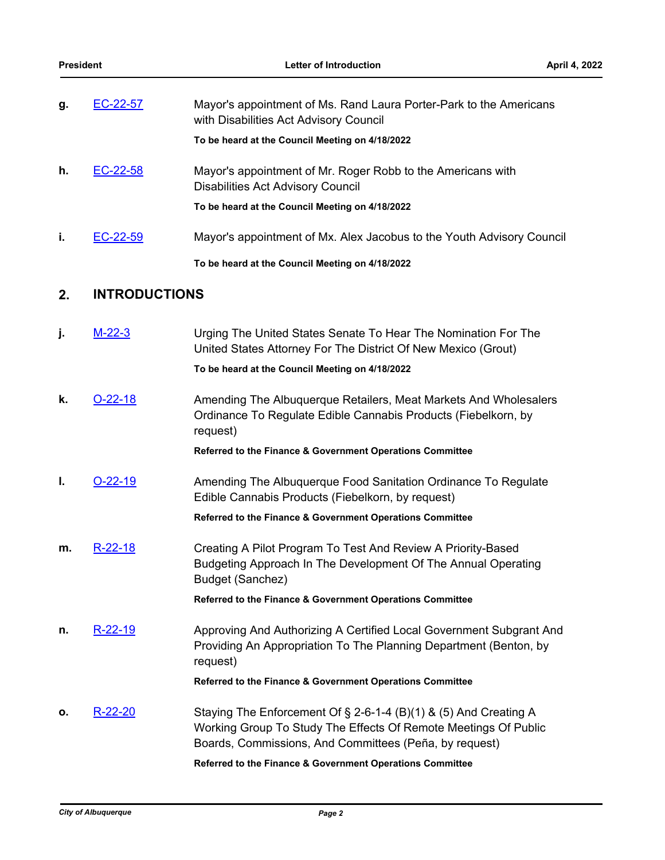| g. | EC-22-57             | Mayor's appointment of Ms. Rand Laura Porter-Park to the Americans<br>with Disabilities Act Advisory Council                                   |
|----|----------------------|------------------------------------------------------------------------------------------------------------------------------------------------|
|    |                      | To be heard at the Council Meeting on 4/18/2022                                                                                                |
| h. | EC-22-58             | Mayor's appointment of Mr. Roger Robb to the Americans with<br><b>Disabilities Act Advisory Council</b>                                        |
|    |                      | To be heard at the Council Meeting on 4/18/2022                                                                                                |
| j. | EC-22-59             | Mayor's appointment of Mx. Alex Jacobus to the Youth Advisory Council                                                                          |
|    |                      | To be heard at the Council Meeting on 4/18/2022                                                                                                |
| 2. | <b>INTRODUCTIONS</b> |                                                                                                                                                |
| j. | $M-22-3$             | Urging The United States Senate To Hear The Nomination For The<br>United States Attorney For The District Of New Mexico (Grout)                |
|    |                      | To be heard at the Council Meeting on 4/18/2022                                                                                                |
| k. | $O-22-18$            | Amending The Albuquerque Retailers, Meat Markets And Wholesalers<br>Ordinance To Regulate Edible Cannabis Products (Fiebelkorn, by<br>request) |

**Referred to the Finance & Government Operations Committee**

**I. [O-22-19](http://cabq.legistar.com/gateway.aspx?m=l&id=/matter.aspx?key=12882)** Amending The Albuquerque Food Sanitation Ordinance To Regulate Edible Cannabis Products (Fiebelkorn, by request)

**Referred to the Finance & Government Operations Committee**

**m.** [R-22-18](http://cabq.legistar.com/gateway.aspx?m=l&id=/matter.aspx?key=12871) **Creating A Pilot Program To Test And Review A Priority-Based** Budgeting Approach In The Development Of The Annual Operating Budget (Sanchez)

**Referred to the Finance & Government Operations Committee**

**n.** [R-22-19](http://cabq.legistar.com/gateway.aspx?m=l&id=/matter.aspx?key=12873) Approving And Authorizing A Certified Local Government Subgrant And Providing An Appropriation To The Planning Department (Benton, by request)

**Referred to the Finance & Government Operations Committee**

**o.** [R-22-20](http://cabq.legistar.com/gateway.aspx?m=l&id=/matter.aspx?key=12874) Staying The Enforcement Of § 2-6-1-4 (B)(1) & (5) And Creating A Working Group To Study The Effects Of Remote Meetings Of Public Boards, Commissions, And Committees (Peña, by request)

**Referred to the Finance & Government Operations Committee**